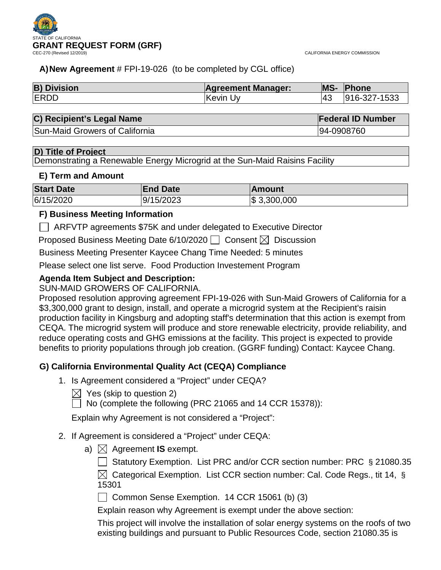

CALIFORNIA ENERGY COMMISSION

## **A)New Agreement** # FPI-19-026 (to be completed by CGL office)

| <b>B) Division</b> | <b>Agreement Manager:</b> | <b>MS-</b> | Phone        |
|--------------------|---------------------------|------------|--------------|
| <b>ERDD</b>        | <b>Kevin Uv</b>           |            | 916-327-1533 |

| C) Recipient's Legal Name      | <b>Federal ID Number</b> |  |
|--------------------------------|--------------------------|--|
| Sun-Maid Growers of California | 94-0908760               |  |

## **D) Title of Project**

Demonstrating a Renewable Energy Microgrid at the Sun-Maid Raisins Facility

### **E) Term and Amount**

| <b>Start Date</b> | <b>End Date</b> | ∣Amount         |
|-------------------|-----------------|-----------------|
| 6/15/2020         | 9/15/2023       | $\$\,3,300,000$ |

## **F) Business Meeting Information**

ARFVTP agreements \$75K and under delegated to Executive Director

Proposed Business Meeting Date 6/10/2020  $\Box$  Consent  $\boxtimes$  Discussion

Business Meeting Presenter Kaycee Chang Time Needed: 5 minutes

Please select one list serve. Food Production Investement Program

## **Agenda Item Subject and Description:**

## SUN-MAID GROWERS OF CALIFORNIA.

Proposed resolution approving agreement FPI-19-026 with Sun-Maid Growers of California for a \$3,300,000 grant to design, install, and operate a microgrid system at the Recipient's raisin production facility in Kingsburg and adopting staff's determination that this action is exempt from CEQA. The microgrid system will produce and store renewable electricity, provide reliability, and reduce operating costs and GHG emissions at the facility. This project is expected to provide benefits to priority populations through job creation. (GGRF funding) Contact: Kaycee Chang.

## **G) California Environmental Quality Act (CEQA) Compliance**

- 1. Is Agreement considered a "Project" under CEQA?
	- $\bowtie$  Yes (skip to question 2)

 $\Box$  No (complete the following (PRC 21065 and 14 CCR 15378)):

Explain why Agreement is not considered a "Project":

## 2. If Agreement is considered a "Project" under CEQA:

- a)  $\boxtimes$  Agreement **IS** exempt.
	- ◯ Statutory Exemption. List PRC and/or CCR section number: PRC § 21080.35

 $\boxtimes$  Categorical Exemption. List CCR section number: Cal. Code Regs., tit 14, § 15301

Common Sense Exemption. 14 CCR 15061 (b) (3)

Explain reason why Agreement is exempt under the above section:

This project will involve the installation of solar energy systems on the roofs of two existing buildings and pursuant to Public Resources Code, section 21080.35 is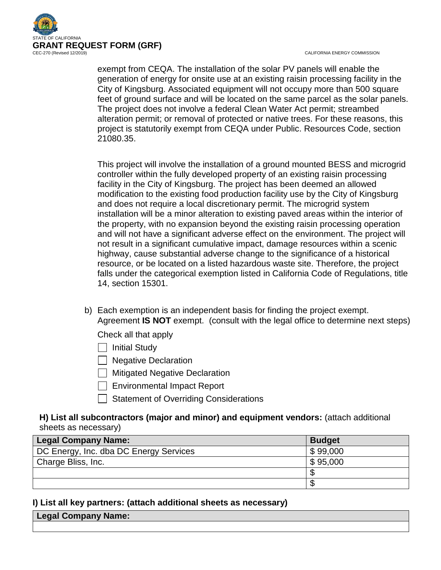

CALIFORNIA ENERGY COMMISSION

exempt from CEQA. The installation of the solar PV panels will enable the generation of energy for onsite use at an existing raisin processing facility in the City of Kingsburg. Associated equipment will not occupy more than 500 square feet of ground surface and will be located on the same parcel as the solar panels. The project does not involve a federal Clean Water Act permit; streambed alteration permit; or removal of protected or native trees. For these reasons, this project is statutorily exempt from CEQA under Public. Resources Code, section 21080.35.

This project will involve the installation of a ground mounted BESS and microgrid controller within the fully developed property of an existing raisin processing facility in the City of Kingsburg. The project has been deemed an allowed modification to the existing food production facility use by the City of Kingsburg and does not require a local discretionary permit. The microgrid system installation will be a minor alteration to existing paved areas within the interior of the property, with no expansion beyond the existing raisin processing operation and will not have a significant adverse effect on the environment. The project will not result in a significant cumulative impact, damage resources within a scenic highway, cause substantial adverse change to the significance of a historical resource, or be located on a listed hazardous waste site. Therefore, the project falls under the categorical exemption listed in California Code of Regulations, title 14, section 15301.

b) Each exemption is an independent basis for finding the project exempt. Agreement **IS NOT** exempt. (consult with the legal office to determine next steps)

Check all that apply

- $\Box$  Initial Study
- $\Box$  Negative Declaration
- $\Box$  Mitigated Negative Declaration
- $\Box$  Environmental Impact Report
- Statement of Overriding Considerations

## **H) List all subcontractors (major and minor) and equipment vendors:** (attach additional sheets as necessary)

| <b>Legal Company Name:</b>             | <b>Budget</b> |
|----------------------------------------|---------------|
| DC Energy, Inc. dba DC Energy Services | \$99,000      |
| Charge Bliss, Inc.                     | \$95,000      |
|                                        |               |
|                                        |               |

## **I) List all key partners: (attach additional sheets as necessary)**

| <b>↓Legal Company Name: \</b> |  |
|-------------------------------|--|
|                               |  |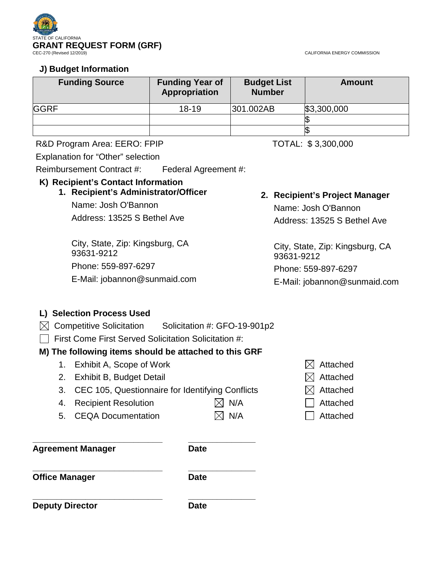

CALIFORNIA ENERGY COMMISSION

## **J) Budget Information**

| <b>Funding Source</b> | <b>Funding Year of</b><br><b>Appropriation</b> | <b>Budget List</b><br><b>Number</b> | <b>Amount</b> |
|-----------------------|------------------------------------------------|-------------------------------------|---------------|
| <b>GGRF</b>           | $18 - 19$                                      | 301.002AB                           | \$3,300,000   |
|                       |                                                |                                     |               |
|                       |                                                |                                     |               |

## R&D Program Area: EERO: FPIP TOTAL: \$3,300,000

Explanation for "Other" selection

Reimbursement Contract #: Federal Agreement #:

## **K) Recipient's Contact Information**

# **1. Recipient's Administrator/Officer** Name: Josh O'Bannon

Address: 13525 S Bethel Ave

City, State, Zip: Kingsburg, CA 93631-9212 Phone: 559-897-6297 E-Mail: jobannon@sunmaid.com

# **2. Recipient's Project Manager**

Name: Josh O'Bannon Address: 13525 S Bethel Ave

City, State, Zip: Kingsburg, CA 93631-9212 Phone: 559-897-6297

E-Mail: jobannon@sunmaid.com

# **L) Selection Process Used**

- $\boxtimes$  Competitive Solicitation Solicitation #: GFO-19-901p2
- $\Box$  First Come First Served Solicitation Solicitation #:

## **M) The following items should be attached to this GRF**

- 1. Exhibit A, Scope of Work  $\boxtimes$  Attached
- 2. Exhibit B, Budget Detail  $\boxtimes$  Attached
- 3. CEC 105, Questionnaire for Identifying Conflicts  $\boxtimes$  Attached
- 4. Recipient Resolution  $\boxtimes$  N/A  $\Box$  Attached
- 5. CEQA Documentation  $\boxtimes$  N/A  $\Box$  Attached

**\_\_\_\_\_\_\_\_\_\_\_\_\_\_\_\_\_\_\_\_\_\_\_\_\_\_\_ \_\_\_\_\_\_\_\_\_\_\_\_\_\_ Agreement Manager Date** 

**\_\_\_\_\_\_\_\_\_\_\_\_\_\_\_\_\_\_\_\_\_\_\_\_\_\_\_ \_\_\_\_\_\_\_\_\_\_\_\_\_\_ Office Manager Date** 

**\_\_\_\_\_\_\_\_\_\_\_\_\_\_\_\_\_\_\_\_\_\_\_\_\_\_\_ \_\_\_\_\_\_\_\_\_\_\_\_\_\_ Deputy Director Date** 

- 
- 
- 
- 
-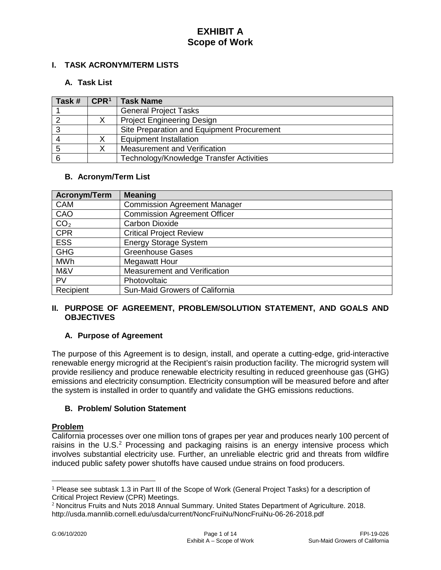## **I. TASK ACRONYM/TERM LISTS**

### **A. Task List**

| Task # | CPR <sup>1</sup> | <b>Task Name</b>                           |
|--------|------------------|--------------------------------------------|
|        |                  | <b>General Project Tasks</b>               |
|        |                  | <b>Project Engineering Design</b>          |
|        |                  | Site Preparation and Equipment Procurement |
|        |                  | <b>Equipment Installation</b>              |
|        |                  | Measurement and Verification               |
|        |                  | Technology/Knowledge Transfer Activities   |

## **B. Acronym/Term List**

| <b>Acronym/Term</b> | <b>Meaning</b>                      |
|---------------------|-------------------------------------|
| <b>CAM</b>          | <b>Commission Agreement Manager</b> |
| CAO                 | <b>Commission Agreement Officer</b> |
| CO <sub>2</sub>     | <b>Carbon Dioxide</b>               |
| <b>CPR</b>          | <b>Critical Project Review</b>      |
| <b>ESS</b>          | <b>Energy Storage System</b>        |
| <b>GHG</b>          | <b>Greenhouse Gases</b>             |
| <b>MWh</b>          | <b>Megawatt Hour</b>                |
| M&V                 | Measurement and Verification        |
| <b>PV</b>           | Photovoltaic                        |
| Recipient           | Sun-Maid Growers of California      |

## **II. PURPOSE OF AGREEMENT, PROBLEM/SOLUTION STATEMENT, AND GOALS AND OBJECTIVES**

## **A. Purpose of Agreement**

The purpose of this Agreement is to design, install, and operate a cutting-edge, grid-interactive renewable energy microgrid at the Recipient's raisin production facility. The microgrid system will provide resiliency and produce renewable electricity resulting in reduced greenhouse gas (GHG) emissions and electricity consumption. Electricity consumption will be measured before and after the system is installed in order to quantify and validate the GHG emissions reductions.

## **B. Problem/ Solution Statement**

#### **Problem**

 $\overline{a}$ 

California processes over one million tons of grapes per year and produces nearly 100 percent of raisins in the U.S.<sup>[2](#page-3-1)</sup> Processing and packaging raisins is an energy intensive process which involves substantial electricity use. Further, an unreliable electric grid and threats from wildfire induced public safety power shutoffs have caused undue strains on food producers.

<span id="page-3-0"></span><sup>1</sup> Please see subtask 1.3 in Part III of the Scope of Work (General Project Tasks) for a description of Critical Project Review (CPR) Meetings.

<span id="page-3-1"></span><sup>2</sup> Noncitrus Fruits and Nuts 2018 Annual Summary. United States Department of Agriculture. 2018. http://usda.mannlib.cornell.edu/usda/current/NoncFruiNu/NoncFruiNu-06-26-2018.pdf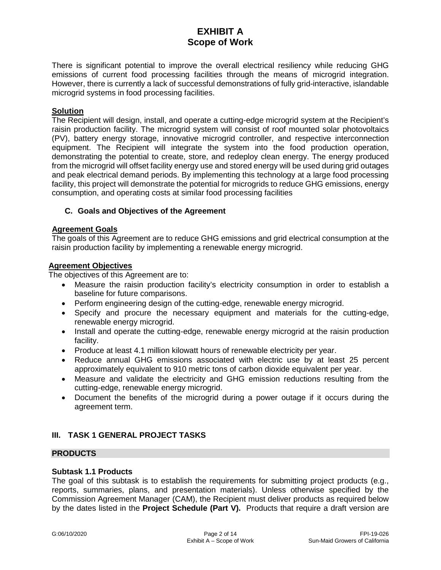There is significant potential to improve the overall electrical resiliency while reducing GHG emissions of current food processing facilities through the means of microgrid integration. However, there is currently a lack of successful demonstrations of fully grid-interactive, islandable microgrid systems in food processing facilities.

## **Solution**

The Recipient will design, install, and operate a cutting-edge microgrid system at the Recipient's raisin production facility. The microgrid system will consist of roof mounted solar photovoltaics (PV), battery energy storage, innovative microgrid controller, and respective interconnection equipment. The Recipient will integrate the system into the food production operation, demonstrating the potential to create, store, and redeploy clean energy. The energy produced from the microgrid will offset facility energy use and stored energy will be used during grid outages and peak electrical demand periods. By implementing this technology at a large food processing facility, this project will demonstrate the potential for microgrids to reduce GHG emissions, energy consumption, and operating costs at similar food processing facilities

#### **C. Goals and Objectives of the Agreement**

#### **Agreement Goals**

The goals of this Agreement are to reduce GHG emissions and grid electrical consumption at the raisin production facility by implementing a renewable energy microgrid.

#### **Agreement Objectives**

The objectives of this Agreement are to:

- Measure the raisin production facility's electricity consumption in order to establish a baseline for future comparisons.
- Perform engineering design of the cutting-edge, renewable energy microgrid.
- Specify and procure the necessary equipment and materials for the cutting-edge, renewable energy microgrid.
- Install and operate the cutting-edge, renewable energy microgrid at the raisin production facility.
- Produce at least 4.1 million kilowatt hours of renewable electricity per year.
- Reduce annual GHG emissions associated with electric use by at least 25 percent approximately equivalent to 910 metric tons of carbon dioxide equivalent per year.
- Measure and validate the electricity and GHG emission reductions resulting from the cutting-edge, renewable energy microgrid.
- Document the benefits of the microgrid during a power outage if it occurs during the agreement term.

## **III. TASK 1 GENERAL PROJECT TASKS**

#### **PRODUCTS**

#### **Subtask 1.1 Products**

The goal of this subtask is to establish the requirements for submitting project products (e.g., reports, summaries, plans, and presentation materials). Unless otherwise specified by the Commission Agreement Manager (CAM), the Recipient must deliver products as required below by the dates listed in the **Project Schedule (Part V).** Products that require a draft version are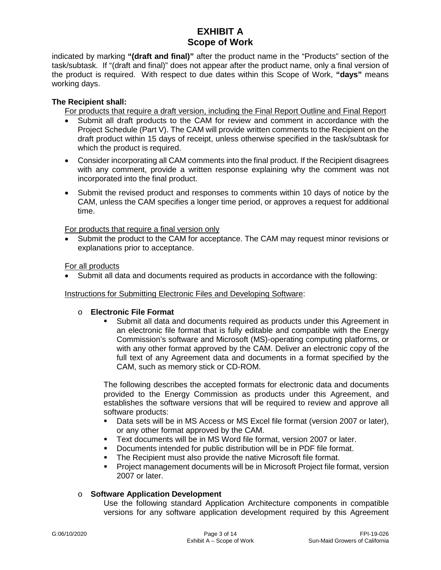indicated by marking **"(draft and final)"** after the product name in the "Products" section of the task/subtask. If "(draft and final)" does not appear after the product name, only a final version of the product is required. With respect to due dates within this Scope of Work, **"days"** means working days.

## **The Recipient shall:**

For products that require a draft version, including the Final Report Outline and Final Report

- Submit all draft products to the CAM for review and comment in accordance with the Project Schedule (Part V). The CAM will provide written comments to the Recipient on the draft product within 15 days of receipt, unless otherwise specified in the task/subtask for which the product is required.
- Consider incorporating all CAM comments into the final product. If the Recipient disagrees with any comment, provide a written response explaining why the comment was not incorporated into the final product.
- Submit the revised product and responses to comments within 10 days of notice by the CAM, unless the CAM specifies a longer time period, or approves a request for additional time.

For products that require a final version only

• Submit the product to the CAM for acceptance. The CAM may request minor revisions or explanations prior to acceptance.

For all products

• Submit all data and documents required as products in accordance with the following:

Instructions for Submitting Electronic Files and Developing Software:

#### o **Electronic File Format**

 Submit all data and documents required as products under this Agreement in an electronic file format that is fully editable and compatible with the Energy Commission's software and Microsoft (MS)-operating computing platforms, or with any other format approved by the CAM. Deliver an electronic copy of the full text of any Agreement data and documents in a format specified by the CAM, such as memory stick or CD-ROM.

The following describes the accepted formats for electronic data and documents provided to the Energy Commission as products under this Agreement, and establishes the software versions that will be required to review and approve all software products:

- Data sets will be in MS Access or MS Excel file format (version 2007 or later), or any other format approved by the CAM.
- Text documents will be in MS Word file format, version 2007 or later.
- Documents intended for public distribution will be in PDF file format.
- **The Recipient must also provide the native Microsoft file format.**
- Project management documents will be in Microsoft Project file format, version 2007 or later.

## o **Software Application Development**

Use the following standard Application Architecture components in compatible versions for any software application development required by this Agreement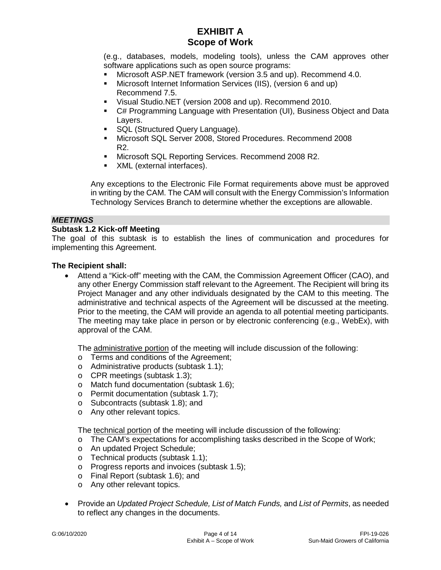(e.g., databases, models, modeling tools), unless the CAM approves other software applications such as open source programs:

- Microsoft ASP.NET framework (version 3.5 and up). Recommend 4.0.
- Microsoft Internet Information Services (IIS), (version 6 and up) Recommend 7.5.
- Visual Studio.NET (version 2008 and up). Recommend 2010.
- C# Programming Language with Presentation (UI), Business Object and Data Layers.
- **SQL (Structured Query Language).**
- Microsoft SQL Server 2008, Stored Procedures. Recommend 2008 R2.
- **Microsoft SQL Reporting Services. Recommend 2008 R2.**
- XML (external interfaces).

Any exceptions to the Electronic File Format requirements above must be approved in writing by the CAM. The CAM will consult with the Energy Commission's Information Technology Services Branch to determine whether the exceptions are allowable.

#### *MEETINGS*

## **Subtask 1.2 Kick-off Meeting**

The goal of this subtask is to establish the lines of communication and procedures for implementing this Agreement.

#### **The Recipient shall:**

• Attend a "Kick-off" meeting with the CAM, the Commission Agreement Officer (CAO), and any other Energy Commission staff relevant to the Agreement. The Recipient will bring its Project Manager and any other individuals designated by the CAM to this meeting. The administrative and technical aspects of the Agreement will be discussed at the meeting. Prior to the meeting, the CAM will provide an agenda to all potential meeting participants. The meeting may take place in person or by electronic conferencing (e.g., WebEx), with approval of the CAM.

The administrative portion of the meeting will include discussion of the following:

- o Terms and conditions of the Agreement;
- o Administrative products (subtask 1.1);
- o CPR meetings (subtask 1.3);
- o Match fund documentation (subtask 1.6);
- o Permit documentation (subtask 1.7);
- o Subcontracts (subtask 1.8); and
- o Any other relevant topics.

The technical portion of the meeting will include discussion of the following:

- o The CAM's expectations for accomplishing tasks described in the Scope of Work;
- o An updated Project Schedule;
- o Technical products (subtask 1.1);
- o Progress reports and invoices (subtask 1.5);
- o Final Report (subtask 1.6); and
- o Any other relevant topics.
- Provide an *Updated Project Schedule, List of Match Funds,* and *List of Permits*, as needed to reflect any changes in the documents.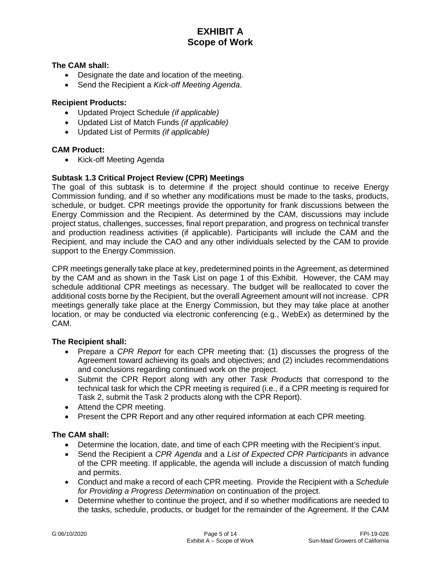### **The CAM shall:**

- Designate the date and location of the meeting.
- Send the Recipient a *Kick-off Meeting Agenda*.

### **Recipient Products:**

- Updated Project Schedule *(if applicable)*
- Updated List of Match Funds *(if applicable)*
- Updated List of Permits *(if applicable)*

#### **CAM Product:**

• Kick-off Meeting Agenda

## **Subtask 1.3 Critical Project Review (CPR) Meetings**

The goal of this subtask is to determine if the project should continue to receive Energy Commission funding, and if so whether any modifications must be made to the tasks, products, schedule, or budget. CPR meetings provide the opportunity for frank discussions between the Energy Commission and the Recipient. As determined by the CAM, discussions may include project status, challenges, successes, final report preparation, and progress on technical transfer and production readiness activities (if applicable). Participants will include the CAM and the Recipient, and may include the CAO and any other individuals selected by the CAM to provide support to the Energy Commission.

CPR meetings generally take place at key, predetermined points in the Agreement, as determined by the CAM and as shown in the Task List on page 1 of this Exhibit. However, the CAM may schedule additional CPR meetings as necessary. The budget will be reallocated to cover the additional costs borne by the Recipient, but the overall Agreement amount will not increase. CPR meetings generally take place at the Energy Commission, but they may take place at another location, or may be conducted via electronic conferencing (e.g., WebEx) as determined by the CAM.

#### **The Recipient shall:**

- Prepare a *CPR Report* for each CPR meeting that: (1) discusses the progress of the Agreement toward achieving its goals and objectives; and (2) includes recommendations and conclusions regarding continued work on the project.
- Submit the CPR Report along with any other *Task Products* that correspond to the technical task for which the CPR meeting is required (i.e., if a CPR meeting is required for Task 2, submit the Task 2 products along with the CPR Report).
- Attend the CPR meeting.
- Present the CPR Report and any other required information at each CPR meeting.

## **The CAM shall:**

- Determine the location, date, and time of each CPR meeting with the Recipient's input.
- Send the Recipient a *CPR Agenda* and a *List of Expected CPR Participants* in advance of the CPR meeting. If applicable, the agenda will include a discussion of match funding and permits.
- Conduct and make a record of each CPR meeting. Provide the Recipient with a *Schedule for Providing a Progress Determination* on continuation of the project.
- Determine whether to continue the project, and if so whether modifications are needed to the tasks, schedule, products, or budget for the remainder of the Agreement. If the CAM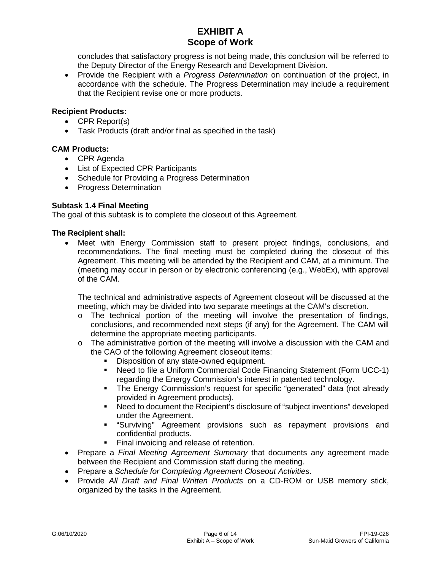concludes that satisfactory progress is not being made, this conclusion will be referred to the Deputy Director of the Energy Research and Development Division.

• Provide the Recipient with a *Progress Determination* on continuation of the project, in accordance with the schedule. The Progress Determination may include a requirement that the Recipient revise one or more products.

## **Recipient Products:**

- CPR Report(s)
- Task Products (draft and/or final as specified in the task)

## **CAM Products:**

- CPR Agenda
- List of Expected CPR Participants
- Schedule for Providing a Progress Determination
- Progress Determination

## **Subtask 1.4 Final Meeting**

The goal of this subtask is to complete the closeout of this Agreement.

## **The Recipient shall:**

• Meet with Energy Commission staff to present project findings, conclusions, and recommendations. The final meeting must be completed during the closeout of this Agreement. This meeting will be attended by the Recipient and CAM, at a minimum. The (meeting may occur in person or by electronic conferencing (e.g., WebEx), with approval of the CAM.

The technical and administrative aspects of Agreement closeout will be discussed at the meeting, which may be divided into two separate meetings at the CAM's discretion.

- $\circ$  The technical portion of the meeting will involve the presentation of findings, conclusions, and recommended next steps (if any) for the Agreement. The CAM will determine the appropriate meeting participants.
- $\circ$  The administrative portion of the meeting will involve a discussion with the CAM and the CAO of the following Agreement closeout items:
	- Disposition of any state-owned equipment.
	- Need to file a Uniform Commercial Code Financing Statement (Form UCC-1) regarding the Energy Commission's interest in patented technology.
	- The Energy Commission's request for specific "generated" data (not already provided in Agreement products).
	- Need to document the Recipient's disclosure of "subject inventions" developed under the Agreement.
	- "Surviving" Agreement provisions such as repayment provisions and confidential products.
	- Final invoicing and release of retention.
- Prepare a *Final Meeting Agreement Summary* that documents any agreement made between the Recipient and Commission staff during the meeting.
- Prepare a *Schedule for Completing Agreement Closeout Activities*.
- Provide *All Draft and Final Written Products* on a CD-ROM or USB memory stick, organized by the tasks in the Agreement.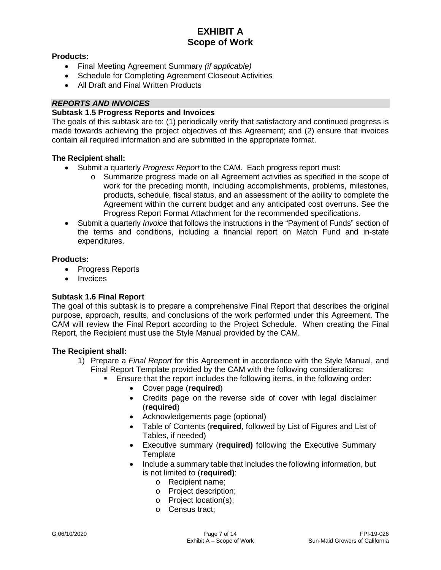### **Products:**

- Final Meeting Agreement Summary *(if applicable)*
- Schedule for Completing Agreement Closeout Activities
- All Draft and Final Written Products

## *REPORTS AND INVOICES*

#### **Subtask 1.5 Progress Reports and Invoices**

The goals of this subtask are to: (1) periodically verify that satisfactory and continued progress is made towards achieving the project objectives of this Agreement; and (2) ensure that invoices contain all required information and are submitted in the appropriate format.

#### **The Recipient shall:**

- Submit a quarterly *Progress Report* to the CAM. Each progress report must:
	- o Summarize progress made on all Agreement activities as specified in the scope of work for the preceding month, including accomplishments, problems, milestones, products, schedule, fiscal status, and an assessment of the ability to complete the Agreement within the current budget and any anticipated cost overruns. See the Progress Report Format Attachment for the recommended specifications.
- Submit a quarterly *Invoice* that follows the instructions in the "Payment of Funds" section of the terms and conditions, including a financial report on Match Fund and in-state expenditures.

#### **Products:**

- Progress Reports
- **Invoices**

## **Subtask 1.6 Final Report**

The goal of this subtask is to prepare a comprehensive Final Report that describes the original purpose, approach, results, and conclusions of the work performed under this Agreement. The CAM will review the Final Report according to the Project Schedule. When creating the Final Report, the Recipient must use the Style Manual provided by the CAM.

- 1) Prepare a *Final Report* for this Agreement in accordance with the Style Manual, and Final Report Template provided by the CAM with the following considerations:
	- Ensure that the report includes the following items, in the following order:
		- Cover page (**required**)
		- Credits page on the reverse side of cover with legal disclaimer (**required**)
		- Acknowledgements page (optional)
		- Table of Contents (**required**, followed by List of Figures and List of Tables, if needed)
		- Executive summary (**required)** following the Executive Summary **Template**
		- Include a summary table that includes the following information, but is not limited to (**required)**:
			- o Recipient name;
			- o Project description;
			- o Project location(s);
			- o Census tract;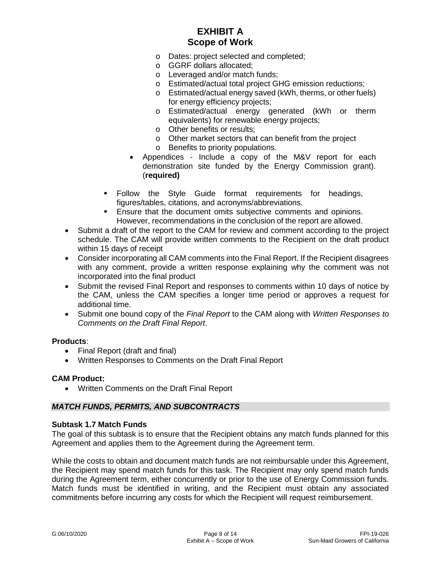- o Dates: project selected and completed;
- o GGRF dollars allocated;
- o Leveraged and/or match funds;
- o Estimated/actual total project GHG emission reductions;
- o Estimated/actual energy saved (kWh, therms, or other fuels) for energy efficiency projects;
- o Estimated/actual energy generated (kWh or therm equivalents) for renewable energy projects;
- o Other benefits or results;
- o Other market sectors that can benefit from the project
- o Benefits to priority populations.
- Appendices Include a copy of the M&V report for each demonstration site funded by the Energy Commission grant). (**required)**
- Follow the Style Guide format requirements for headings, figures/tables, citations, and acronyms/abbreviations.
- **Ensure that the document omits subjective comments and opinions.** However, recommendations in the conclusion of the report are allowed.
- Submit a draft of the report to the CAM for review and comment according to the project schedule. The CAM will provide written comments to the Recipient on the draft product within 15 days of receipt
- Consider incorporating all CAM comments into the Final Report. If the Recipient disagrees with any comment, provide a written response explaining why the comment was not incorporated into the final product
- Submit the revised Final Report and responses to comments within 10 days of notice by the CAM, unless the CAM specifies a longer time period or approves a request for additional time.
- Submit one bound copy of the *Final Report* to the CAM along with *Written Responses to Comments on the Draft Final Report*.

## **Products**:

- Final Report (draft and final)
- Written Responses to Comments on the Draft Final Report

#### **CAM Product:**

• Written Comments on the Draft Final Report

#### *MATCH FUNDS, PERMITS, AND SUBCONTRACTS*

#### **Subtask 1.7 Match Funds**

The goal of this subtask is to ensure that the Recipient obtains any match funds planned for this Agreement and applies them to the Agreement during the Agreement term.

While the costs to obtain and document match funds are not reimbursable under this Agreement, the Recipient may spend match funds for this task. The Recipient may only spend match funds during the Agreement term, either concurrently or prior to the use of Energy Commission funds. Match funds must be identified in writing, and the Recipient must obtain any associated commitments before incurring any costs for which the Recipient will request reimbursement.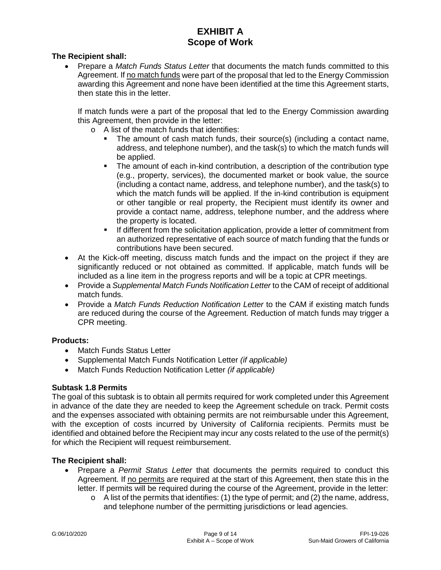### **The Recipient shall:**

• Prepare a *Match Funds Status Letter* that documents the match funds committed to this Agreement. If no match funds were part of the proposal that led to the Energy Commission awarding this Agreement and none have been identified at the time this Agreement starts, then state this in the letter.

If match funds were a part of the proposal that led to the Energy Commission awarding this Agreement, then provide in the letter:

- o A list of the match funds that identifies:
	- The amount of cash match funds, their source(s) (including a contact name, address, and telephone number), and the task(s) to which the match funds will be applied.
	- The amount of each in-kind contribution, a description of the contribution type (e.g., property, services), the documented market or book value, the source (including a contact name, address, and telephone number), and the task(s) to which the match funds will be applied. If the in-kind contribution is equipment or other tangible or real property, the Recipient must identify its owner and provide a contact name, address, telephone number, and the address where the property is located.
	- **If different from the solicitation application, provide a letter of commitment from** an authorized representative of each source of match funding that the funds or contributions have been secured.
- At the Kick-off meeting, discuss match funds and the impact on the project if they are significantly reduced or not obtained as committed. If applicable, match funds will be included as a line item in the progress reports and will be a topic at CPR meetings.
- Provide a *Supplemental Match Funds Notification Letter* to the CAM of receipt of additional match funds.
- Provide a *Match Funds Reduction Notification Letter* to the CAM if existing match funds are reduced during the course of the Agreement. Reduction of match funds may trigger a CPR meeting.

## **Products:**

- Match Funds Status Letter
- Supplemental Match Funds Notification Letter *(if applicable)*
- Match Funds Reduction Notification Letter *(if applicable)*

#### **Subtask 1.8 Permits**

The goal of this subtask is to obtain all permits required for work completed under this Agreement in advance of the date they are needed to keep the Agreement schedule on track. Permit costs and the expenses associated with obtaining permits are not reimbursable under this Agreement, with the exception of costs incurred by University of California recipients. Permits must be identified and obtained before the Recipient may incur any costs related to the use of the permit(s) for which the Recipient will request reimbursement.

- Prepare a *Permit Status Letter* that documents the permits required to conduct this Agreement. If no permits are required at the start of this Agreement, then state this in the letter. If permits will be required during the course of the Agreement, provide in the letter:
	- $\circ$  A list of the permits that identifies: (1) the type of permit; and (2) the name, address, and telephone number of the permitting jurisdictions or lead agencies.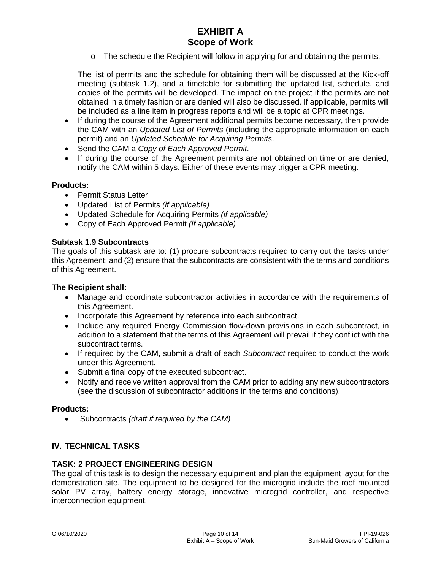$\circ$  The schedule the Recipient will follow in applying for and obtaining the permits.

The list of permits and the schedule for obtaining them will be discussed at the Kick-off meeting (subtask 1.2), and a timetable for submitting the updated list, schedule, and copies of the permits will be developed. The impact on the project if the permits are not obtained in a timely fashion or are denied will also be discussed. If applicable, permits will be included as a line item in progress reports and will be a topic at CPR meetings.

- If during the course of the Agreement additional permits become necessary, then provide the CAM with an *Updated List of Permits* (including the appropriate information on each permit) and an *Updated Schedule for Acquiring Permits*.
- Send the CAM a *Copy of Each Approved Permit*.
- If during the course of the Agreement permits are not obtained on time or are denied, notify the CAM within 5 days. Either of these events may trigger a CPR meeting.

## **Products:**

- Permit Status Letter
- Updated List of Permits *(if applicable)*
- Updated Schedule for Acquiring Permits *(if applicable)*
- Copy of Each Approved Permit *(if applicable)*

## **Subtask 1.9 Subcontracts**

The goals of this subtask are to: (1) procure subcontracts required to carry out the tasks under this Agreement; and (2) ensure that the subcontracts are consistent with the terms and conditions of this Agreement.

#### **The Recipient shall:**

- Manage and coordinate subcontractor activities in accordance with the requirements of this Agreement.
- Incorporate this Agreement by reference into each subcontract.
- Include any required Energy Commission flow-down provisions in each subcontract, in addition to a statement that the terms of this Agreement will prevail if they conflict with the subcontract terms.
- If required by the CAM, submit a draft of each *Subcontract* required to conduct the work under this Agreement.
- Submit a final copy of the executed subcontract.
- Notify and receive written approval from the CAM prior to adding any new subcontractors (see the discussion of subcontractor additions in the terms and conditions).

#### **Products:**

• Subcontracts *(draft if required by the CAM)*

## **IV. TECHNICAL TASKS**

#### **TASK: 2 PROJECT ENGINEERING DESIGN**

The goal of this task is to design the necessary equipment and plan the equipment layout for the demonstration site. The equipment to be designed for the microgrid include the roof mounted solar PV array, battery energy storage, innovative microgrid controller, and respective interconnection equipment.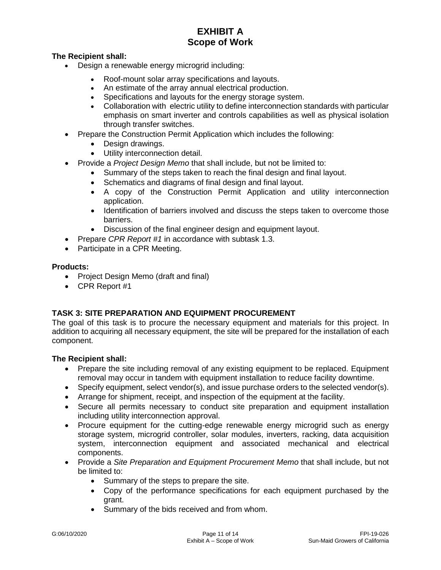## **The Recipient shall:**

- Design a renewable energy microgrid including:
	- Roof-mount solar array specifications and layouts.
	- An estimate of the array annual electrical production.
	- Specifications and layouts for the energy storage system.
	- Collaboration with electric utility to define interconnection standards with particular emphasis on smart inverter and controls capabilities as well as physical isolation through transfer switches.
- Prepare the Construction Permit Application which includes the following:
	- Design drawings.
	- Utility interconnection detail.
- Provide a *Project Design Memo* that shall include, but not be limited to:
	- Summary of the steps taken to reach the final design and final layout.
	- Schematics and diagrams of final design and final layout.
	- A copy of the Construction Permit Application and utility interconnection application.
	- Identification of barriers involved and discuss the steps taken to overcome those barriers.
	- Discussion of the final engineer design and equipment layout.
- Prepare *CPR Report #1* in accordance with subtask 1.3.
- Participate in a CPR Meeting.

## **Products:**

- Project Design Memo (draft and final)
- CPR Report #1

## **TASK 3: SITE PREPARATION AND EQUIPMENT PROCUREMENT**

The goal of this task is to procure the necessary equipment and materials for this project. In addition to acquiring all necessary equipment, the site will be prepared for the installation of each component.

- Prepare the site including removal of any existing equipment to be replaced. Equipment removal may occur in tandem with equipment installation to reduce facility downtime.
- Specify equipment, select vendor(s), and issue purchase orders to the selected vendor(s).
- Arrange for shipment, receipt, and inspection of the equipment at the facility.
- Secure all permits necessary to conduct site preparation and equipment installation including utility interconnection approval.
- Procure equipment for the cutting-edge renewable energy microgrid such as energy storage system, microgrid controller, solar modules, inverters, racking, data acquisition system, interconnection equipment and associated mechanical and electrical components.
- Provide a *Site Preparation and Equipment Procurement Memo* that shall include, but not be limited to:
	- Summary of the steps to prepare the site.
	- Copy of the performance specifications for each equipment purchased by the grant.
	- Summary of the bids received and from whom.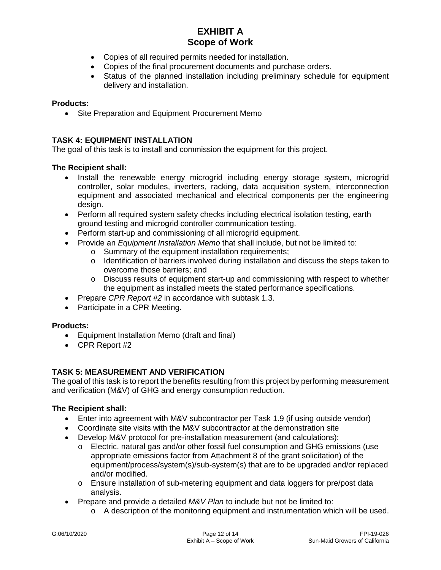- Copies of all required permits needed for installation.
- Copies of the final procurement documents and purchase orders.
- Status of the planned installation including preliminary schedule for equipment delivery and installation.

## **Products:**

• Site Preparation and Equipment Procurement Memo

### **TASK 4: EQUIPMENT INSTALLATION**

The goal of this task is to install and commission the equipment for this project.

#### **The Recipient shall:**

- Install the renewable energy microgrid including energy storage system, microgrid controller, solar modules, inverters, racking, data acquisition system, interconnection equipment and associated mechanical and electrical components per the engineering design.
- Perform all required system safety checks including electrical isolation testing, earth ground testing and microgrid controller communication testing.
- Perform start-up and commissioning of all microgrid equipment.
- Provide an *Equipment Installation Memo* that shall include, but not be limited to:
	- o Summary of the equipment installation requirements;
	- o Identification of barriers involved during installation and discuss the steps taken to overcome those barriers; and
	- o Discuss results of equipment start-up and commissioning with respect to whether the equipment as installed meets the stated performance specifications.
- Prepare *CPR Report #2* in accordance with subtask 1.3.
- Participate in a CPR Meeting.

#### **Products:**

- Equipment Installation Memo (draft and final)
- CPR Report #2

## **TASK 5: MEASUREMENT AND VERIFICATION**

The goal of this task is to report the benefits resulting from this project by performing measurement and verification (M&V) of GHG and energy consumption reduction.

- Enter into agreement with M&V subcontractor per Task 1.9 (if using outside vendor)
- Coordinate site visits with the M&V subcontractor at the demonstration site
- Develop M&V protocol for pre-installation measurement (and calculations):
	- o Electric, natural gas and/or other fossil fuel consumption and GHG emissions (use appropriate emissions factor from Attachment 8 of the grant solicitation) of the equipment/process/system(s)/sub-system(s) that are to be upgraded and/or replaced and/or modified.
	- o Ensure installation of sub-metering equipment and data loggers for pre/post data analysis.
- Prepare and provide a detailed *M&V Plan* to include but not be limited to:
	- $\circ$  A description of the monitoring equipment and instrumentation which will be used.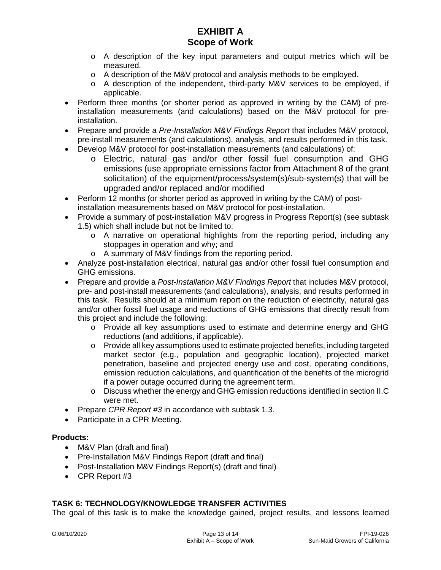- $\circ$  A description of the key input parameters and output metrics which will be measured.
- o A description of the M&V protocol and analysis methods to be employed.
- o A description of the independent, third-party M&V services to be employed, if applicable.
- Perform three months (or shorter period as approved in writing by the CAM) of preinstallation measurements (and calculations) based on the M&V protocol for preinstallation.
- Prepare and provide a *Pre-Installation M&V Findings Report* that includes M&V protocol, pre-install measurements (and calculations), analysis, and results performed in this task.
- Develop M&V protocol for post-installation measurements (and calculations) of:
	- o Electric, natural gas and/or other fossil fuel consumption and GHG emissions (use appropriate emissions factor from Attachment 8 of the grant solicitation) of the equipment/process/system(s)/sub-system(s) that will be upgraded and/or replaced and/or modified
- Perform 12 months (or shorter period as approved in writing by the CAM) of postinstallation measurements based on M&V protocol for post-installation.
- Provide a summary of post-installation M&V progress in Progress Report(s) (see subtask 1.5) which shall include but not be limited to:
	- o A narrative on operational highlights from the reporting period, including any stoppages in operation and why; and
	- o A summary of M&V findings from the reporting period.
- Analyze post-installation electrical, natural gas and/or other fossil fuel consumption and GHG emissions.
- Prepare and provide a *Post-Installation M&V Findings Report* that includes M&V protocol, pre- and post-install measurements (and calculations), analysis, and results performed in this task. Results should at a minimum report on the reduction of electricity, natural gas and/or other fossil fuel usage and reductions of GHG emissions that directly result from this project and include the following:
	- o Provide all key assumptions used to estimate and determine energy and GHG reductions (and additions, if applicable).
	- o Provide all key assumptions used to estimate projected benefits, including targeted market sector (e.g., population and geographic location), projected market penetration, baseline and projected energy use and cost, operating conditions, emission reduction calculations, and quantification of the benefits of the microgrid if a power outage occurred during the agreement term.
	- $\circ$  Discuss whether the energy and GHG emission reductions identified in section II.C were met.
- Prepare *CPR Report #3* in accordance with subtask 1.3.
- Participate in a CPR Meeting.

## **Products:**

- M&V Plan (draft and final)
- Pre-Installation M&V Findings Report (draft and final)
- Post-Installation M&V Findings Report(s) (draft and final)
- CPR Report #3

## **TASK 6: TECHNOLOGY/KNOWLEDGE TRANSFER ACTIVITIES**

The goal of this task is to make the knowledge gained, project results, and lessons learned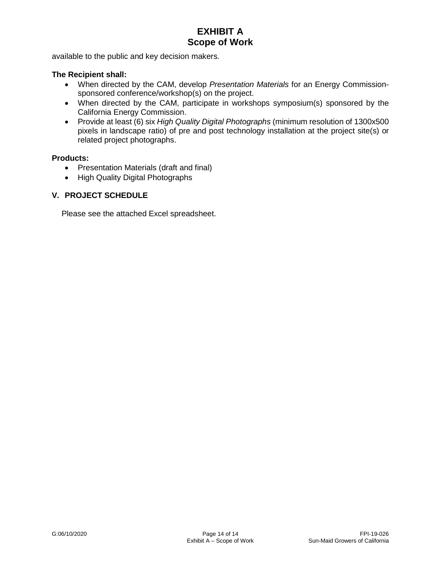available to the public and key decision makers.

#### **The Recipient shall:**

- When directed by the CAM, develop *Presentation Materials* for an Energy Commissionsponsored conference/workshop(s) on the project.
- When directed by the CAM, participate in workshops symposium(s) sponsored by the California Energy Commission.
- Provide at least (6) six *High Quality Digital Photographs* (minimum resolution of 1300x500 pixels in landscape ratio) of pre and post technology installation at the project site(s) or related project photographs.

#### **Products:**

- Presentation Materials (draft and final)
- High Quality Digital Photographs

### **V. PROJECT SCHEDULE**

Please see the attached Excel spreadsheet.